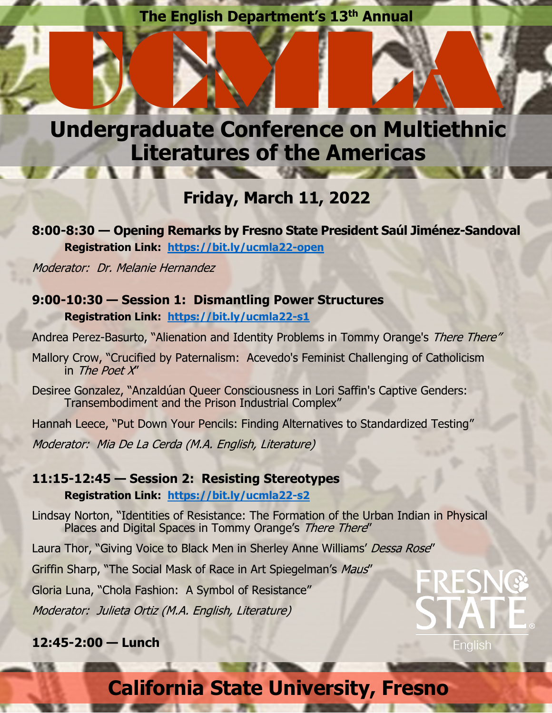## **The English Department's 13th Annual**



## **Friday, March 11, 2022**

**8:00-8:30 — Opening Remarks by Fresno State President Saúl Jiménez-Sandoval Registration Link: https://bit.ly/ucmla22-open**

Moderator: Dr. Melanie Hernandez

### **9:00-10:30 — Session 1: Dismantling Power Structures Registration Link: https://bit.ly/ucmla22-s1**

Andrea Perez-Basurto, "Alienation and Identity Problems in Tommy Orange's There There"

Mallory Crow, "Crucified by Paternalism: Acevedo's Feminist Challenging of Catholicism in The Poet X"

Desiree Gonzalez, "Anzaldúan Queer Consciousness in Lori Saffin's Captive Genders: Transembodiment and the Prison Industrial Complex"

Hannah Leece, "Put Down Your Pencils: Finding Alternatives to Standardized Testing" Moderator: Mia De La Cerda (M.A. English, Literature)

### **11:15-12:45 — Session 2: Resisting Stereotypes**

**Registration Link: https://bit.ly/ucmla22-s2**

Lindsay Norton, "Identities of Resistance: The Formation of the Urban Indian in Physical Places and Digital Spaces in Tommy Orange's There There"

Laura Thor, "Giving Voice to Black Men in Sherley Anne Williams' Dessa Rose"

Griffin Sharp, "The Social Mask of Race in Art Spiegelman's Maus"

Gloria Luna, "Chola Fashion: A Symbol of Resistance"

Moderator: Julieta Ortiz (M.A. English, Literature)

#### **12:45-2:00 — Lunch**



# **California State University, Fresno**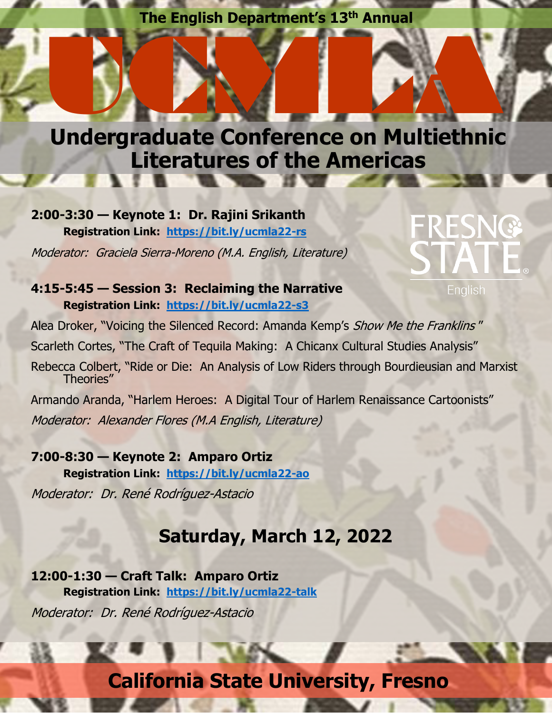## **The English Department's 13th Annual**



**2:00-3:30 — Keynote 1: Dr. Rajini Srikanth Registration Link: https://bit.ly/ucmla22-rs** Moderator: Graciela Sierra-Moreno (M.A. English, Literature)

# RESNG

**4:15-5:45 — Session 3: Reclaiming the Narrative Registration Link: https://bit.ly/ucmla22-s3**

English

Alea Droker, "Voicing the Silenced Record: Amanda Kemp's Show Me the Franklins" Scarleth Cortes, "The Craft of Tequila Making: A Chicanx Cultural Studies Analysis"

Rebecca Colbert, "Ride or Die: An Analysis of Low Riders through Bourdieusian and Marxist Theories"

Armando Aranda, "Harlem Heroes: A Digital Tour of Harlem Renaissance Cartoonists" Moderator: Alexander Flores (M.A English, Literature)

**7:00-8:30 — Keynote 2: Amparo Ortiz Registration Link: https://bit.ly/ucmla22-ao** Moderator: Dr. René Rodríguez-Astacio

## **Saturday, March 12, 2022**

**12:00-1:30 — Craft Talk: Amparo Ortiz Registration Link: https://bit.ly/ucmla22-talk** Moderator: Dr. René Rodríguez-Astacio

# **California State University, Fresno**